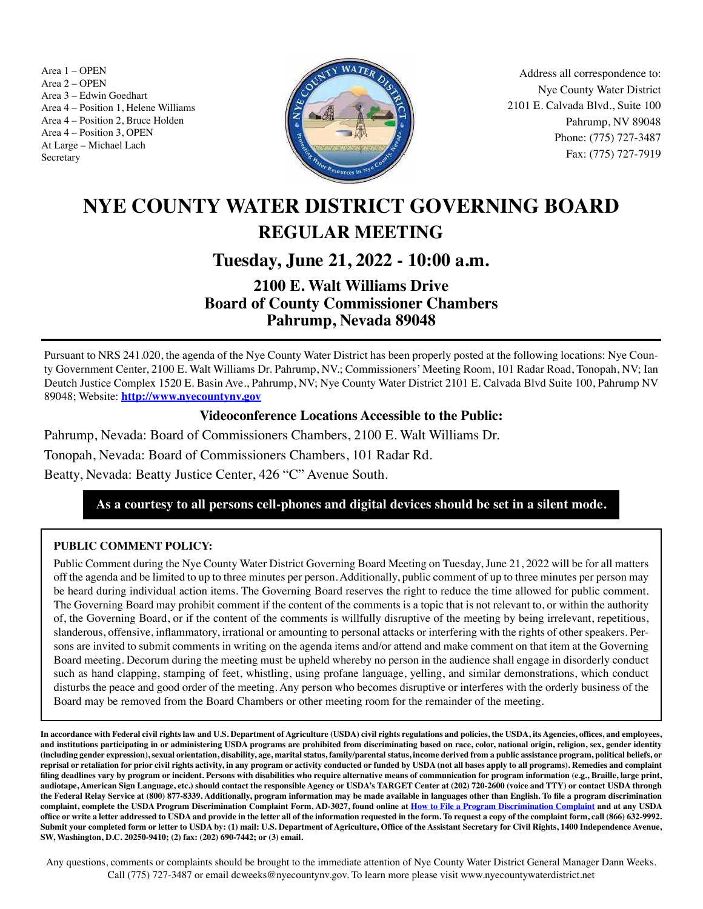Area 1 – OPEN<br>Area 2 – OPEN<br> **Item 21, 2022** Area 21, 2022<br> **Item 21, 2022** Area 21, 2022 Area 2 – OPEN Area 3 – Edwin Goedhart Area 4 – Position 1, Helene Williams Area 4 – Position 2, Bruce Holden Area 4 – Position 3, OPEN At Large – Michael Lach Secretary



Nye County Water District 2101 E. Calvada Blvd., Suite 100 Pahrump, NV 89048 Phone: (775) 727-3487 Fax: (775) 727-7919

# **NYE COUNTY WATER DISTRICT GOVERNING BOARD REGULAR MEETING**

# **Tuesday, June 21, 2022 - 10:00 a.m.**

# **2100 E. Walt Williams Drive Board of County Commissioner Chambers Pahrump, Nevada 89048**

Pursuant to NRS 241.020, the agenda of the Nye County Water District has been properly posted at the following locations: Nye County Government Center, 2100 E. Walt Williams Dr. Pahrump, NV.; Commissioners' Meeting Room, 101 Radar Road, Tonopah, NV; Ian Deutch Justice Complex 1520 E. Basin Ave., Pahrump, NV; Nye County Water District 2101 E. Calvada Blvd Suite 100, Pahrump NV 89048; Website: **http://www.nyecountynv.gov**

### **Videoconference Locations Accessible to the Public:**

Pahrump, Nevada: Board of Commissioners Chambers, 2100 E. Walt Williams Dr.

Tonopah, Nevada: Board of Commissioners Chambers, 101 Radar Rd.

Beatty, Nevada: Beatty Justice Center, 426 "C" Avenue South.

## **As a courtesy to all persons cell-phones and digital devices should be set in a silent mode.**

### **PUBLIC COMMENT POLICY:**

Public Comment during the Nye County Water District Governing Board Meeting on Tuesday, June 21, 2022 will be for all matters off the agenda and be limited to up to three minutes per person. Additionally, public comment of up to three minutes per person may be heard during individual action items. The Governing Board reserves the right to reduce the time allowed for public comment. The Governing Board may prohibit comment if the content of the comments is a topic that is not relevant to, or within the authority of, the Governing Board, or if the content of the comments is willfully disruptive of the meeting by being irrelevant, repetitious, slanderous, offensive, inflammatory, irrational or amounting to personal attacks or interfering with the rights of other speakers. Persons are invited to submit comments in writing on the agenda items and/or attend and make comment on that item at the Governing Board meeting. Decorum during the meeting must be upheld whereby no person in the audience shall engage in disorderly conduct such as hand clapping, stamping of feet, whistling, using profane language, yelling, and similar demonstrations, which conduct disturbs the peace and good order of the meeting. Any person who becomes disruptive or interferes with the orderly business of the Board may be removed from the Board Chambers or other meeting room for the remainder of the meeting.

**In accordance with Federal civil rights law and U.S. Department of Agriculture (USDA) civil rights regulations and policies, the USDA, its Agencies, offices, and employees, and institutions participating in or administering USDA programs are prohibited from discriminating based on race, color, national origin, religion, sex, gender identity (including gender expression), sexual orientation, disability, age, marital status, family/parental status, income derived from a public assistance program, political beliefs, or reprisal or retaliation for prior civil rights activity, in any program or activity conducted or funded by USDA (not all bases apply to all programs). Remedies and complaint filing deadlines vary by program or incident. Persons with disabilities who require alternative means of communication for program information (e.g., Braille, large print, audiotape, American Sign Language, etc.) should contact the responsible Agency or USDA's TARGET Center at (202) 720-2600 (voice and TTY) or contact USDA through the Federal Relay Service at (800) 877-8339. Additionally, program information may be made available in languages other than English. To file a program discrimination complaint, complete the USDA Program Discrimination Complaint Form, AD-3027, found online at How to File a Program Discrimination Complaint and at any USDA office or write a letter addressed to USDA and provide in the letter all of the information requested in the form. To request a copy of the complaint form, call (866) 632-9992. Submit your completed form or letter to USDA by: (1) mail: U.S. Department of Agriculture, Office of the Assistant Secretary for Civil Rights, 1400 Independence Avenue, SW, Washington, D.C. 20250-9410; (2) fax: (202) 690-7442; or (3) email.**

Any questions, comments or complaints should be brought to the immediate attention of Nye County Water District General Manager Dann Weeks. Call (775) 727-3487 or email dcweeks@nyecountynv.gov. To learn more please visit www.nyecountywaterdistrict.net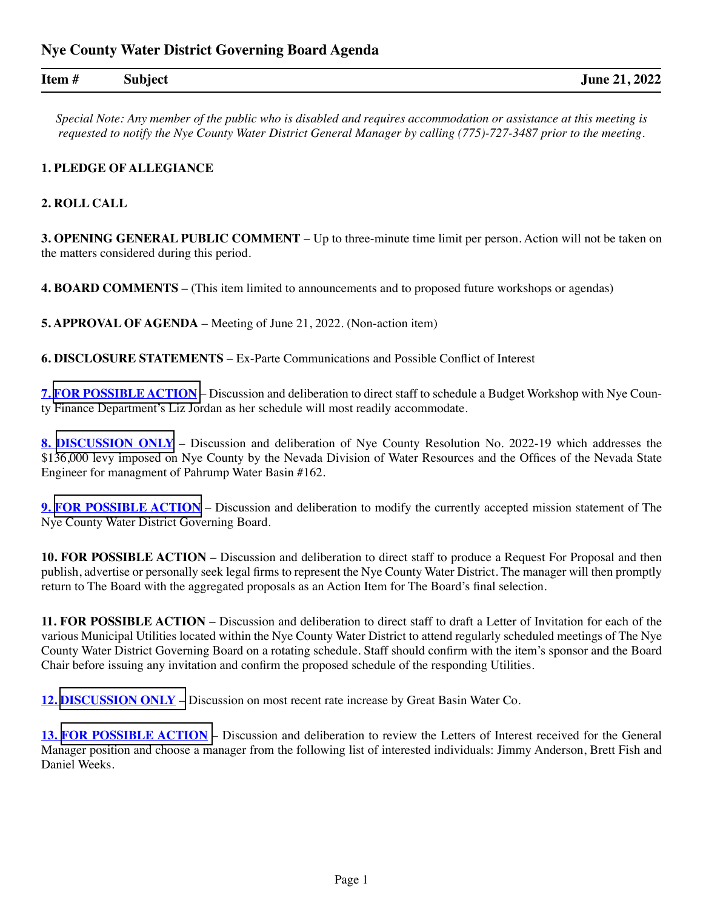| Item# | <b>Subject</b> | <b>June 21, 2022</b> |
|-------|----------------|----------------------|
|       |                |                      |

*Special Note: Any member of the public who is disabled and requires accommodation or assistance at this meeting is requested to notify the Nye County Water District General Manager by calling (775)-727-3487 prior to the meeting.*

#### **1. PLEDGE OF ALLEGIANCE**

#### **2. ROLL CALL**

**3. OPENING GENERAL PUBLIC COMMENT** – Up to three-minute time limit per person. Action will not be taken on the matters considered during this period.

**4. BOARD COMMENTS** – (This item limited to announcements and to proposed future workshops or agendas)

**5. APPROVAL OF AGENDA** – Meeting of June 21, 2022. (Non-action item)

**6. DISCLOSURE STATEMENTS** – Ex-Parte Communications and Possible Conflict of Interest

**7. [FOR POSSIBLE ACTION](https://www.nyecountynv.gov/DocumentCenter/View/41382/Item7)** – Discussion and deliberation to direct staff to schedule a Budget Workshop with Nye County Finance Department's Liz Jordan as her schedule will most readily accommodate.

**8. [DISCUSSION ONLY](https://www.nyecountynv.gov/DocumentCenter/View/41383/Item8)** – Discussion and deliberation of Nye County Resolution No. 2022-19 which addresses the \$136,000 levy imposed on Nye County by the Nevada Division of Water Resources and the Offices of the Nevada State Engineer for managment of Pahrump Water Basin #162.

**9. [FOR POSSIBLE ACTION](https://www.nyecountynv.gov/DocumentCenter/View/41384/Item9)** – Discussion and deliberation to modify the currently accepted mission statement of The Nye County Water District Governing Board.

**10. FOR POSSIBLE ACTION** – Discussion and deliberation to direct staff to produce a Request For Proposal and then publish, advertise or personally seek legal firms to represent the Nye County Water District. The manager will then promptly return to The Board with the aggregated proposals as an Action Item for The Board's final selection.

**11. FOR POSSIBLE ACTION** – Discussion and deliberation to direct staff to draft a Letter of Invitation for each of the various Municipal Utilities located within the Nye County Water District to attend regularly scheduled meetings of The Nye County Water District Governing Board on a rotating schedule. Staff should confirm with the item's sponsor and the Board Chair before issuing any invitation and confirm the proposed schedule of the responding Utilities.

**12. [DISCUSSION ONLY](https://www.nyecountynv.gov/DocumentCenter/View/41385/Item12)** – Discussion on most recent rate increase by Great Basin Water Co.

**13. [FOR POSSIBLE ACTION](https://www.nyecountynv.gov/DocumentCenter/View/41386/Item13)** – Discussion and deliberation to review the Letters of Interest received for the General Manager position and choose a manager from the following list of interested individuals: Jimmy Anderson, Brett Fish and Daniel Weeks.